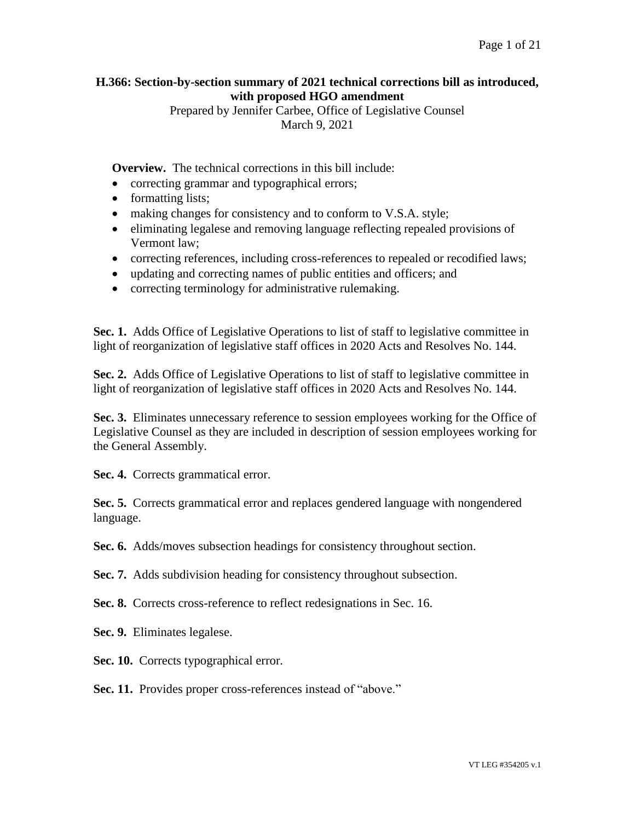## **H.366: Section-by-section summary of 2021 technical corrections bill as introduced, with proposed HGO amendment**

Prepared by Jennifer Carbee, Office of Legislative Counsel March 9, 2021

**Overview.** The technical corrections in this bill include:

- correcting grammar and typographical errors;
- formatting lists;
- making changes for consistency and to conform to V.S.A. style;
- eliminating legalese and removing language reflecting repealed provisions of Vermont law;
- correcting references, including cross-references to repealed or recodified laws;
- updating and correcting names of public entities and officers; and
- correcting terminology for administrative rulemaking.

**Sec. 1.** Adds Office of Legislative Operations to list of staff to legislative committee in light of reorganization of legislative staff offices in 2020 Acts and Resolves No. 144.

**Sec. 2.** Adds Office of Legislative Operations to list of staff to legislative committee in light of reorganization of legislative staff offices in 2020 Acts and Resolves No. 144.

**Sec. 3.** Eliminates unnecessary reference to session employees working for the Office of Legislative Counsel as they are included in description of session employees working for the General Assembly.

Sec. 4. Corrects grammatical error.

**Sec. 5.** Corrects grammatical error and replaces gendered language with nongendered language.

**Sec. 6.** Adds/moves subsection headings for consistency throughout section.

**Sec. 7.** Adds subdivision heading for consistency throughout subsection.

**Sec. 8.** Corrects cross-reference to reflect redesignations in Sec. 16.

**Sec. 9.** Eliminates legalese.

Sec. 10. Corrects typographical error.

Sec. 11. Provides proper cross-references instead of "above."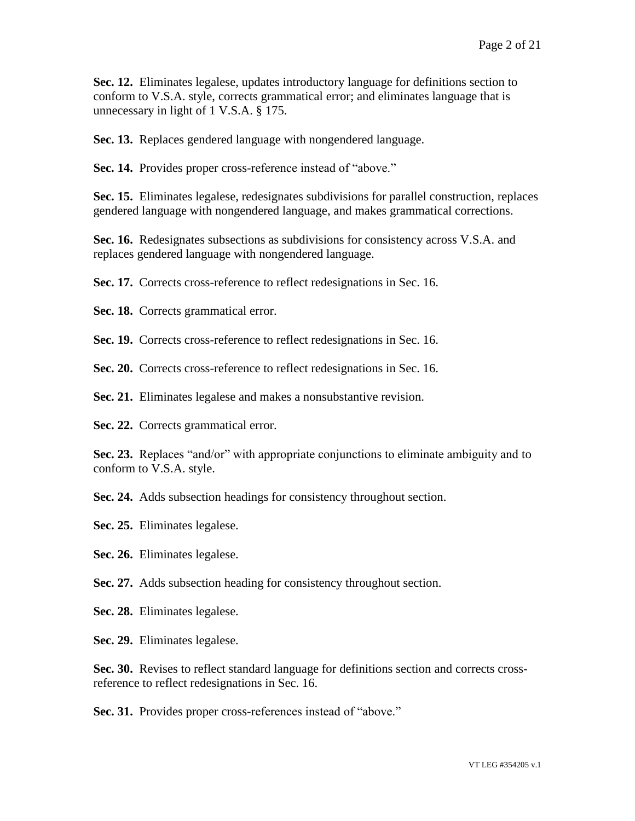**Sec. 12.** Eliminates legalese, updates introductory language for definitions section to conform to V.S.A. style, corrects grammatical error; and eliminates language that is unnecessary in light of 1 V.S.A. § 175.

**Sec. 13.** Replaces gendered language with nongendered language.

Sec. 14. Provides proper cross-reference instead of "above."

**Sec. 15.** Eliminates legalese, redesignates subdivisions for parallel construction, replaces gendered language with nongendered language, and makes grammatical corrections.

**Sec. 16.** Redesignates subsections as subdivisions for consistency across V.S.A. and replaces gendered language with nongendered language.

**Sec. 17.** Corrects cross-reference to reflect redesignations in Sec. 16.

Sec. 18. Corrects grammatical error.

**Sec. 19.** Corrects cross-reference to reflect redesignations in Sec. 16.

**Sec. 20.** Corrects cross-reference to reflect redesignations in Sec. 16.

**Sec. 21.** Eliminates legalese and makes a nonsubstantive revision.

Sec. 22. Corrects grammatical error.

**Sec. 23.** Replaces "and/or" with appropriate conjunctions to eliminate ambiguity and to conform to V.S.A. style.

**Sec. 24.** Adds subsection headings for consistency throughout section.

**Sec. 25.** Eliminates legalese.

**Sec. 26.** Eliminates legalese.

**Sec. 27.** Adds subsection heading for consistency throughout section.

**Sec. 28.** Eliminates legalese.

**Sec. 29.** Eliminates legalese.

**Sec. 30.** Revises to reflect standard language for definitions section and corrects crossreference to reflect redesignations in Sec. 16.

**Sec. 31.** Provides proper cross-references instead of "above."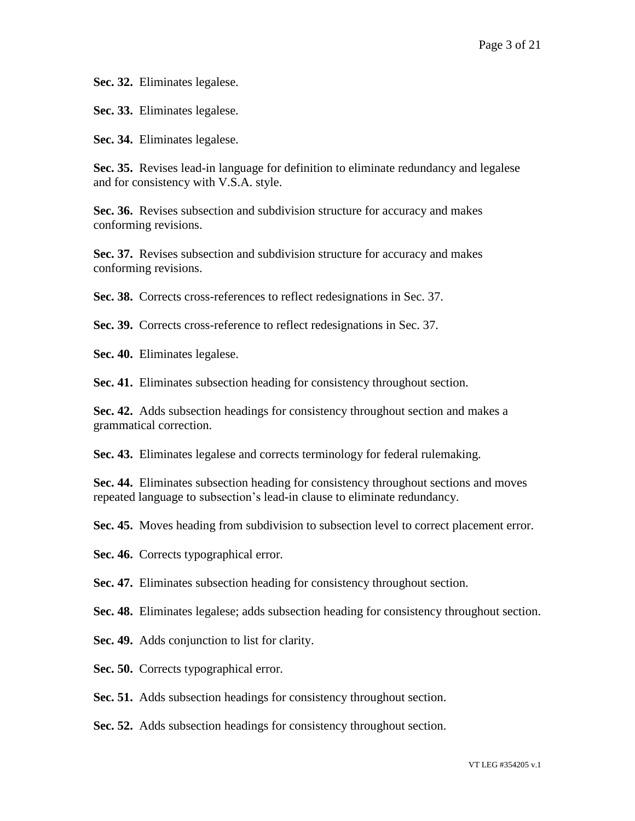**Sec. 32.** Eliminates legalese.

**Sec. 33.** Eliminates legalese.

**Sec. 34.** Eliminates legalese.

**Sec. 35.** Revises lead-in language for definition to eliminate redundancy and legalese and for consistency with V.S.A. style.

**Sec. 36.** Revises subsection and subdivision structure for accuracy and makes conforming revisions.

**Sec. 37.** Revises subsection and subdivision structure for accuracy and makes conforming revisions.

**Sec. 38.** Corrects cross-references to reflect redesignations in Sec. 37.

**Sec. 39.** Corrects cross-reference to reflect redesignations in Sec. 37.

**Sec. 40.** Eliminates legalese.

**Sec. 41.** Eliminates subsection heading for consistency throughout section.

**Sec. 42.** Adds subsection headings for consistency throughout section and makes a grammatical correction.

**Sec. 43.** Eliminates legalese and corrects terminology for federal rulemaking.

**Sec. 44.** Eliminates subsection heading for consistency throughout sections and moves repeated language to subsection's lead-in clause to eliminate redundancy.

**Sec. 45.** Moves heading from subdivision to subsection level to correct placement error.

Sec. 46. Corrects typographical error.

**Sec. 47.** Eliminates subsection heading for consistency throughout section.

**Sec. 48.** Eliminates legalese; adds subsection heading for consistency throughout section.

**Sec. 49.** Adds conjunction to list for clarity.

**Sec. 50.** Corrects typographical error.

**Sec. 51.** Adds subsection headings for consistency throughout section.

**Sec. 52.** Adds subsection headings for consistency throughout section.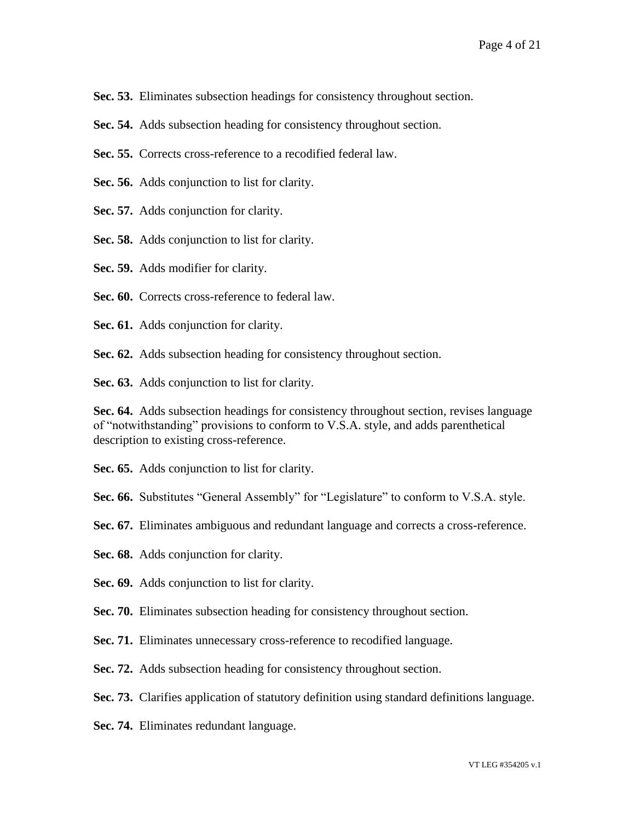**Sec. 53.** Eliminates subsection headings for consistency throughout section.

- **Sec. 54.** Adds subsection heading for consistency throughout section.
- **Sec. 55.** Corrects cross-reference to a recodified federal law.
- **Sec. 56.** Adds conjunction to list for clarity.
- **Sec. 57.** Adds conjunction for clarity.
- **Sec. 58.** Adds conjunction to list for clarity.

**Sec. 59.** Adds modifier for clarity.

- **Sec. 60.** Corrects cross-reference to federal law.
- **Sec. 61.** Adds conjunction for clarity.
- **Sec. 62.** Adds subsection heading for consistency throughout section.

**Sec. 63.** Adds conjunction to list for clarity.

**Sec. 64.** Adds subsection headings for consistency throughout section, revises language of "notwithstanding" provisions to conform to V.S.A. style, and adds parenthetical description to existing cross-reference.

**Sec. 65.** Adds conjunction to list for clarity.

Sec. 66. Substitutes "General Assembly" for "Legislature" to conform to V.S.A. style.

**Sec. 67.** Eliminates ambiguous and redundant language and corrects a cross-reference.

**Sec. 68.** Adds conjunction for clarity.

**Sec. 69.** Adds conjunction to list for clarity.

**Sec. 70.** Eliminates subsection heading for consistency throughout section.

**Sec. 71.** Eliminates unnecessary cross-reference to recodified language.

**Sec. 72.** Adds subsection heading for consistency throughout section.

**Sec. 73.** Clarifies application of statutory definition using standard definitions language.

**Sec. 74.** Eliminates redundant language.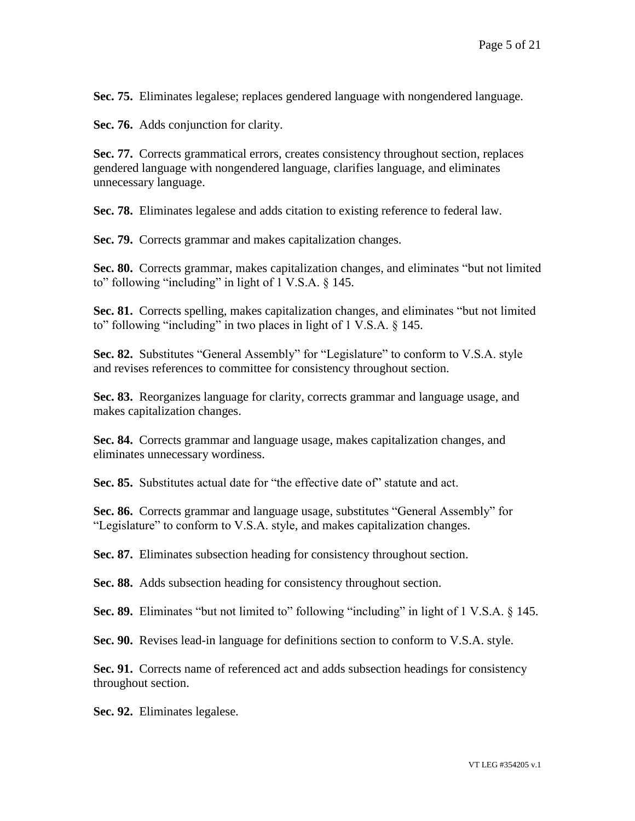**Sec. 75.** Eliminates legalese; replaces gendered language with nongendered language.

**Sec. 76.** Adds conjunction for clarity.

**Sec. 77.** Corrects grammatical errors, creates consistency throughout section, replaces gendered language with nongendered language, clarifies language, and eliminates unnecessary language.

**Sec. 78.** Eliminates legalese and adds citation to existing reference to federal law.

**Sec. 79.** Corrects grammar and makes capitalization changes.

**Sec. 80.** Corrects grammar, makes capitalization changes, and eliminates "but not limited to" following "including" in light of 1 V.S.A. § 145.

**Sec. 81.** Corrects spelling, makes capitalization changes, and eliminates "but not limited to" following "including" in two places in light of 1 V.S.A. § 145.

**Sec. 82.** Substitutes "General Assembly" for "Legislature" to conform to V.S.A. style and revises references to committee for consistency throughout section.

**Sec. 83.** Reorganizes language for clarity, corrects grammar and language usage, and makes capitalization changes.

**Sec. 84.** Corrects grammar and language usage, makes capitalization changes, and eliminates unnecessary wordiness.

**Sec. 85.** Substitutes actual date for "the effective date of" statute and act.

**Sec. 86.** Corrects grammar and language usage, substitutes "General Assembly" for "Legislature" to conform to V.S.A. style, and makes capitalization changes.

**Sec. 87.** Eliminates subsection heading for consistency throughout section.

**Sec. 88.** Adds subsection heading for consistency throughout section.

**Sec. 89.** Eliminates "but not limited to" following "including" in light of 1 V.S.A. § 145.

**Sec. 90.** Revises lead-in language for definitions section to conform to V.S.A. style.

**Sec. 91.** Corrects name of referenced act and adds subsection headings for consistency throughout section.

**Sec. 92.** Eliminates legalese.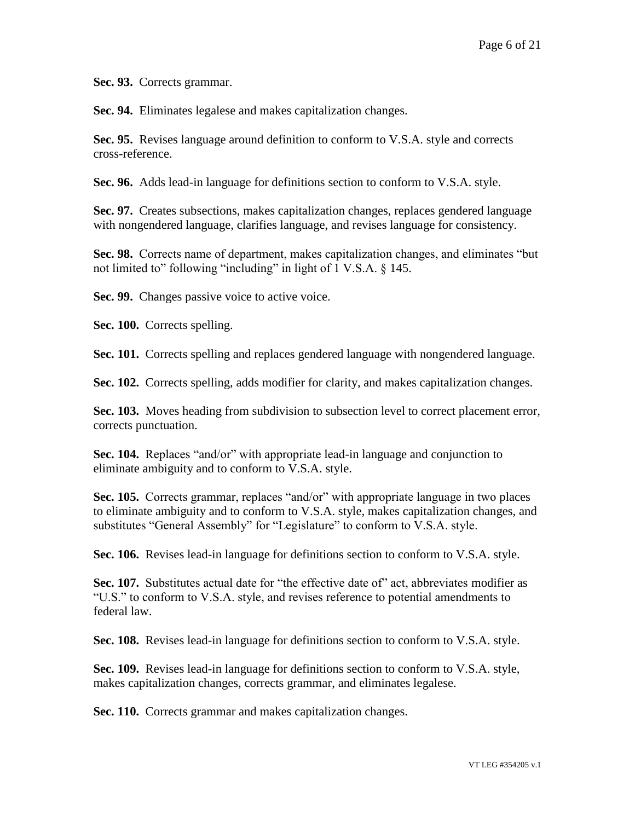**Sec. 93.** Corrects grammar.

**Sec. 94.** Eliminates legalese and makes capitalization changes.

**Sec. 95.** Revises language around definition to conform to V.S.A. style and corrects cross-reference.

**Sec. 96.** Adds lead-in language for definitions section to conform to V.S.A. style.

**Sec. 97.** Creates subsections, makes capitalization changes, replaces gendered language with nongendered language, clarifies language, and revises language for consistency.

**Sec. 98.** Corrects name of department, makes capitalization changes, and eliminates "but not limited to" following "including" in light of 1 V.S.A. § 145.

Sec. 99. Changes passive voice to active voice.

**Sec. 100.** Corrects spelling.

**Sec. 101.** Corrects spelling and replaces gendered language with nongendered language.

**Sec. 102.** Corrects spelling, adds modifier for clarity, and makes capitalization changes.

**Sec. 103.** Moves heading from subdivision to subsection level to correct placement error, corrects punctuation.

**Sec. 104.** Replaces "and/or" with appropriate lead-in language and conjunction to eliminate ambiguity and to conform to V.S.A. style.

**Sec. 105.** Corrects grammar, replaces "and/or" with appropriate language in two places to eliminate ambiguity and to conform to V.S.A. style, makes capitalization changes, and substitutes "General Assembly" for "Legislature" to conform to V.S.A. style.

**Sec. 106.** Revises lead-in language for definitions section to conform to V.S.A. style.

**Sec. 107.** Substitutes actual date for "the effective date of" act, abbreviates modifier as "U.S." to conform to V.S.A. style, and revises reference to potential amendments to federal law.

**Sec. 108.** Revises lead-in language for definitions section to conform to V.S.A. style.

**Sec. 109.** Revises lead-in language for definitions section to conform to V.S.A. style, makes capitalization changes, corrects grammar, and eliminates legalese.

**Sec. 110.** Corrects grammar and makes capitalization changes.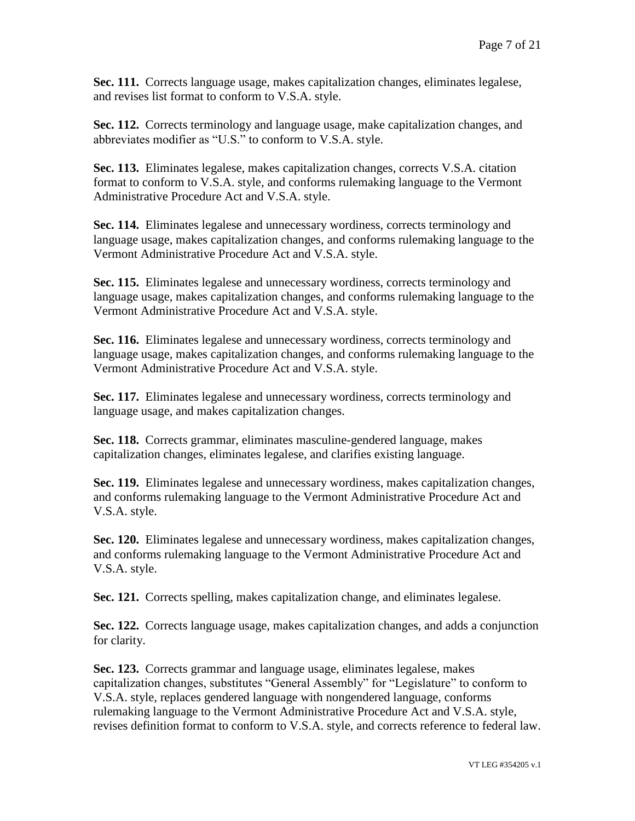**Sec. 111.** Corrects language usage, makes capitalization changes, eliminates legalese, and revises list format to conform to V.S.A. style.

**Sec. 112.** Corrects terminology and language usage, make capitalization changes, and abbreviates modifier as "U.S." to conform to V.S.A. style.

**Sec. 113.** Eliminates legalese, makes capitalization changes, corrects V.S.A. citation format to conform to V.S.A. style, and conforms rulemaking language to the Vermont Administrative Procedure Act and V.S.A. style.

**Sec. 114.** Eliminates legalese and unnecessary wordiness, corrects terminology and language usage, makes capitalization changes, and conforms rulemaking language to the Vermont Administrative Procedure Act and V.S.A. style.

**Sec. 115.** Eliminates legalese and unnecessary wordiness, corrects terminology and language usage, makes capitalization changes, and conforms rulemaking language to the Vermont Administrative Procedure Act and V.S.A. style.

**Sec. 116.** Eliminates legalese and unnecessary wordiness, corrects terminology and language usage, makes capitalization changes, and conforms rulemaking language to the Vermont Administrative Procedure Act and V.S.A. style.

**Sec. 117.** Eliminates legalese and unnecessary wordiness, corrects terminology and language usage, and makes capitalization changes.

**Sec. 118.** Corrects grammar, eliminates masculine-gendered language, makes capitalization changes, eliminates legalese, and clarifies existing language.

**Sec. 119.** Eliminates legalese and unnecessary wordiness, makes capitalization changes, and conforms rulemaking language to the Vermont Administrative Procedure Act and V.S.A. style.

**Sec. 120.** Eliminates legalese and unnecessary wordiness, makes capitalization changes, and conforms rulemaking language to the Vermont Administrative Procedure Act and V.S.A. style.

**Sec. 121.** Corrects spelling, makes capitalization change, and eliminates legalese.

**Sec. 122.** Corrects language usage, makes capitalization changes, and adds a conjunction for clarity.

**Sec. 123.** Corrects grammar and language usage, eliminates legalese, makes capitalization changes, substitutes "General Assembly" for "Legislature" to conform to V.S.A. style, replaces gendered language with nongendered language, conforms rulemaking language to the Vermont Administrative Procedure Act and V.S.A. style, revises definition format to conform to V.S.A. style, and corrects reference to federal law.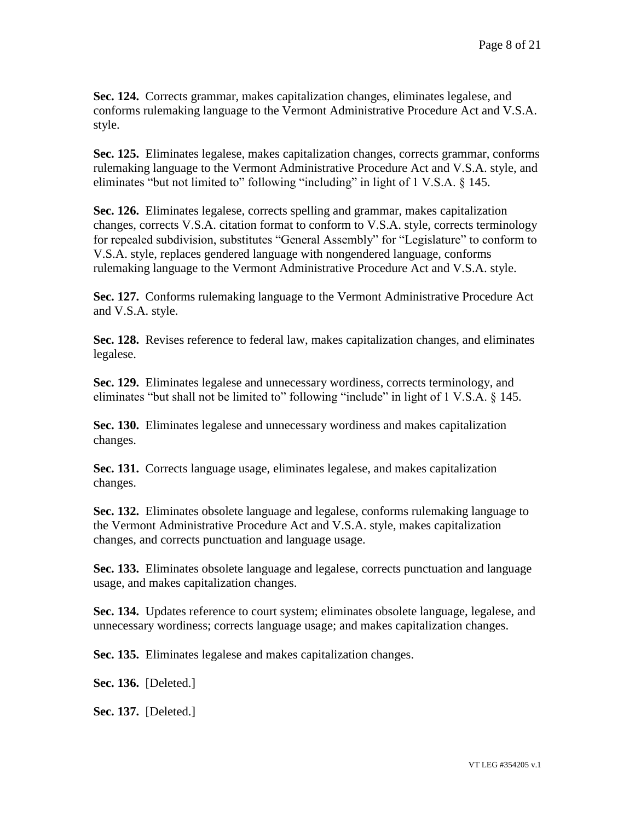**Sec. 124.** Corrects grammar, makes capitalization changes, eliminates legalese, and conforms rulemaking language to the Vermont Administrative Procedure Act and V.S.A. style.

**Sec. 125.** Eliminates legalese, makes capitalization changes, corrects grammar, conforms rulemaking language to the Vermont Administrative Procedure Act and V.S.A. style, and eliminates "but not limited to" following "including" in light of 1 V.S.A. § 145.

**Sec. 126.** Eliminates legalese, corrects spelling and grammar, makes capitalization changes, corrects V.S.A. citation format to conform to V.S.A. style, corrects terminology for repealed subdivision, substitutes "General Assembly" for "Legislature" to conform to V.S.A. style, replaces gendered language with nongendered language, conforms rulemaking language to the Vermont Administrative Procedure Act and V.S.A. style.

**Sec. 127.** Conforms rulemaking language to the Vermont Administrative Procedure Act and V.S.A. style.

**Sec. 128.** Revises reference to federal law, makes capitalization changes, and eliminates legalese.

**Sec. 129.** Eliminates legalese and unnecessary wordiness, corrects terminology, and eliminates "but shall not be limited to" following "include" in light of 1 V.S.A. § 145.

**Sec. 130.** Eliminates legalese and unnecessary wordiness and makes capitalization changes.

**Sec. 131.** Corrects language usage, eliminates legalese, and makes capitalization changes.

**Sec. 132.** Eliminates obsolete language and legalese, conforms rulemaking language to the Vermont Administrative Procedure Act and V.S.A. style, makes capitalization changes, and corrects punctuation and language usage.

**Sec. 133.** Eliminates obsolete language and legalese, corrects punctuation and language usage, and makes capitalization changes.

**Sec. 134.** Updates reference to court system; eliminates obsolete language, legalese, and unnecessary wordiness; corrects language usage; and makes capitalization changes.

**Sec. 135.** Eliminates legalese and makes capitalization changes.

**Sec. 136.** [Deleted.]

**Sec. 137.** [Deleted.]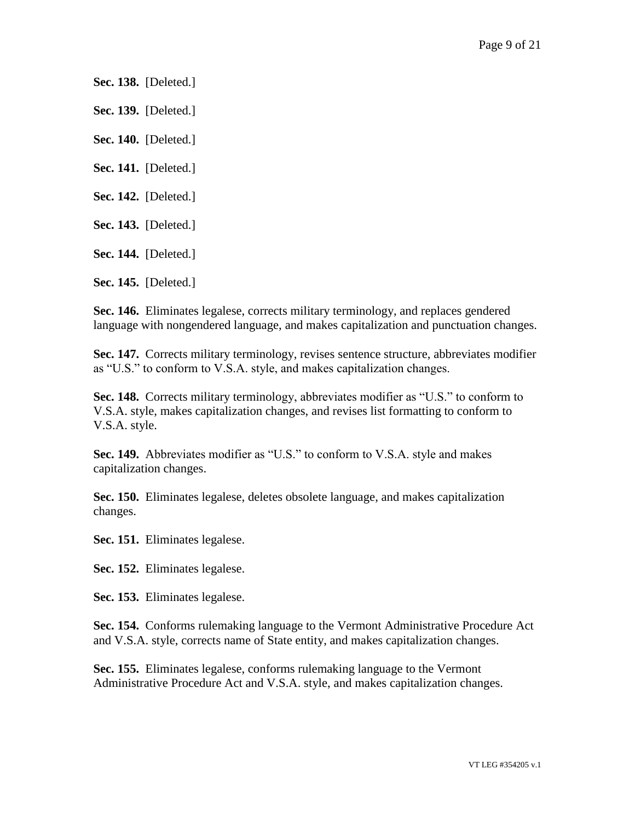**Sec. 138.** [Deleted.]

**Sec. 139.** [Deleted.]

**Sec. 140.** [Deleted.]

**Sec. 141.** [Deleted.]

**Sec. 142.** [Deleted.]

**Sec. 143.** [Deleted.]

**Sec. 144.** [Deleted.]

**Sec. 145.** [Deleted.]

**Sec. 146.** Eliminates legalese, corrects military terminology, and replaces gendered language with nongendered language, and makes capitalization and punctuation changes.

**Sec. 147.** Corrects military terminology, revises sentence structure, abbreviates modifier as "U.S." to conform to V.S.A. style, and makes capitalization changes.

**Sec. 148.** Corrects military terminology, abbreviates modifier as "U.S." to conform to V.S.A. style, makes capitalization changes, and revises list formatting to conform to V.S.A. style.

**Sec. 149.** Abbreviates modifier as "U.S." to conform to V.S.A. style and makes capitalization changes.

**Sec. 150.** Eliminates legalese, deletes obsolete language, and makes capitalization changes.

**Sec. 151.** Eliminates legalese.

**Sec. 152.** Eliminates legalese.

**Sec. 153.** Eliminates legalese.

**Sec. 154.** Conforms rulemaking language to the Vermont Administrative Procedure Act and V.S.A. style, corrects name of State entity, and makes capitalization changes.

**Sec. 155.** Eliminates legalese, conforms rulemaking language to the Vermont Administrative Procedure Act and V.S.A. style, and makes capitalization changes.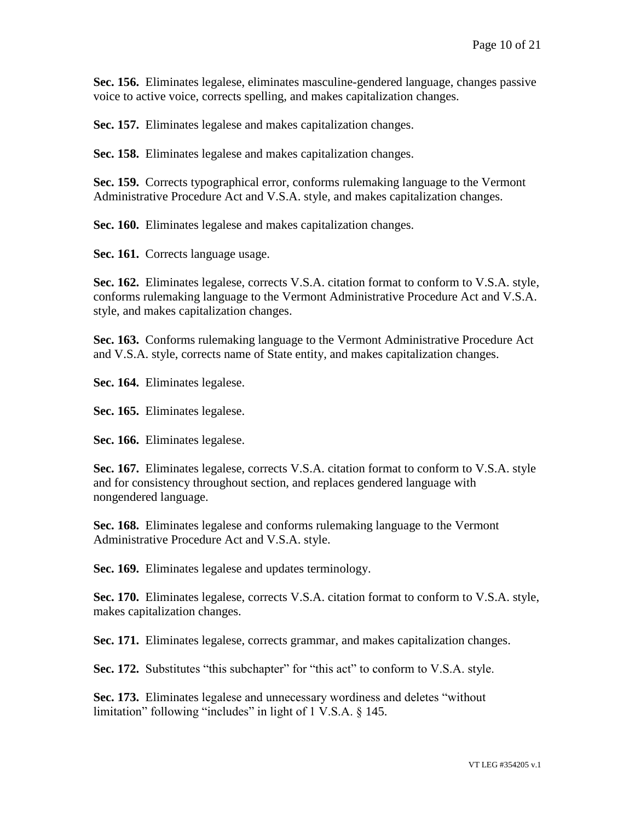**Sec. 156.** Eliminates legalese, eliminates masculine-gendered language, changes passive voice to active voice, corrects spelling, and makes capitalization changes.

**Sec. 157.** Eliminates legalese and makes capitalization changes.

**Sec. 158.** Eliminates legalese and makes capitalization changes.

**Sec. 159.** Corrects typographical error, conforms rulemaking language to the Vermont Administrative Procedure Act and V.S.A. style, and makes capitalization changes.

**Sec. 160.** Eliminates legalese and makes capitalization changes.

**Sec. 161.** Corrects language usage.

**Sec. 162.** Eliminates legalese, corrects V.S.A. citation format to conform to V.S.A. style, conforms rulemaking language to the Vermont Administrative Procedure Act and V.S.A. style, and makes capitalization changes.

**Sec. 163.** Conforms rulemaking language to the Vermont Administrative Procedure Act and V.S.A. style, corrects name of State entity, and makes capitalization changes.

**Sec. 164.** Eliminates legalese.

**Sec. 165.** Eliminates legalese.

**Sec. 166.** Eliminates legalese.

**Sec. 167.** Eliminates legalese, corrects V.S.A. citation format to conform to V.S.A. style and for consistency throughout section, and replaces gendered language with nongendered language.

**Sec. 168.** Eliminates legalese and conforms rulemaking language to the Vermont Administrative Procedure Act and V.S.A. style.

**Sec. 169.** Eliminates legalese and updates terminology.

**Sec. 170.** Eliminates legalese, corrects V.S.A. citation format to conform to V.S.A. style, makes capitalization changes.

**Sec. 171.** Eliminates legalese, corrects grammar, and makes capitalization changes.

**Sec. 172.** Substitutes "this subchapter" for "this act" to conform to V.S.A. style.

**Sec. 173.** Eliminates legalese and unnecessary wordiness and deletes "without limitation" following "includes" in light of 1 V.S.A. § 145.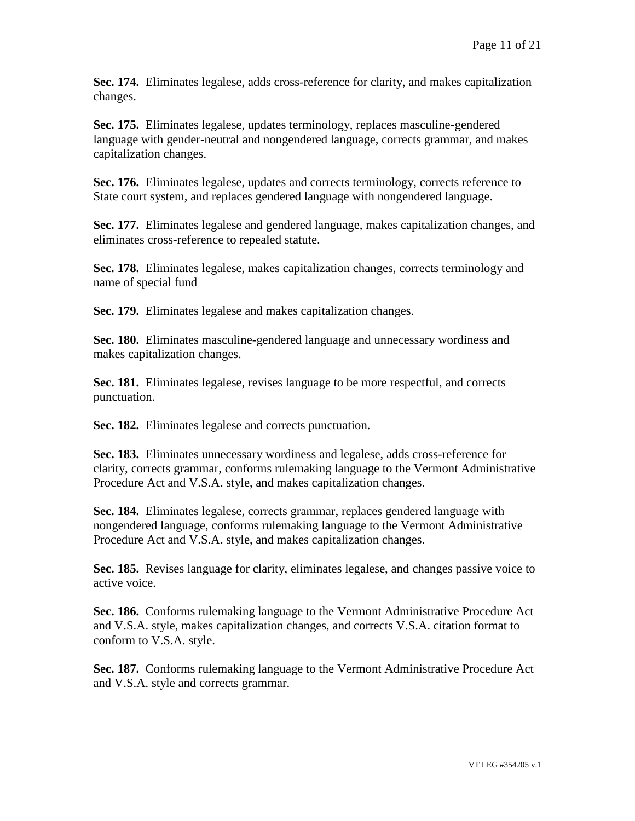**Sec. 174.** Eliminates legalese, adds cross-reference for clarity, and makes capitalization changes.

**Sec. 175.** Eliminates legalese, updates terminology, replaces masculine-gendered language with gender-neutral and nongendered language, corrects grammar, and makes capitalization changes.

Sec. 176. Eliminates legalese, updates and corrects terminology, corrects reference to State court system, and replaces gendered language with nongendered language.

**Sec. 177.** Eliminates legalese and gendered language, makes capitalization changes, and eliminates cross-reference to repealed statute.

**Sec. 178.** Eliminates legalese, makes capitalization changes, corrects terminology and name of special fund

**Sec. 179.** Eliminates legalese and makes capitalization changes.

**Sec. 180.** Eliminates masculine-gendered language and unnecessary wordiness and makes capitalization changes.

**Sec. 181.** Eliminates legalese, revises language to be more respectful, and corrects punctuation.

**Sec. 182.** Eliminates legalese and corrects punctuation.

**Sec. 183.** Eliminates unnecessary wordiness and legalese, adds cross-reference for clarity, corrects grammar, conforms rulemaking language to the Vermont Administrative Procedure Act and V.S.A. style, and makes capitalization changes.

**Sec. 184.** Eliminates legalese, corrects grammar, replaces gendered language with nongendered language, conforms rulemaking language to the Vermont Administrative Procedure Act and V.S.A. style, and makes capitalization changes.

**Sec. 185.** Revises language for clarity, eliminates legalese, and changes passive voice to active voice.

**Sec. 186.** Conforms rulemaking language to the Vermont Administrative Procedure Act and V.S.A. style, makes capitalization changes, and corrects V.S.A. citation format to conform to V.S.A. style.

**Sec. 187.** Conforms rulemaking language to the Vermont Administrative Procedure Act and V.S.A. style and corrects grammar.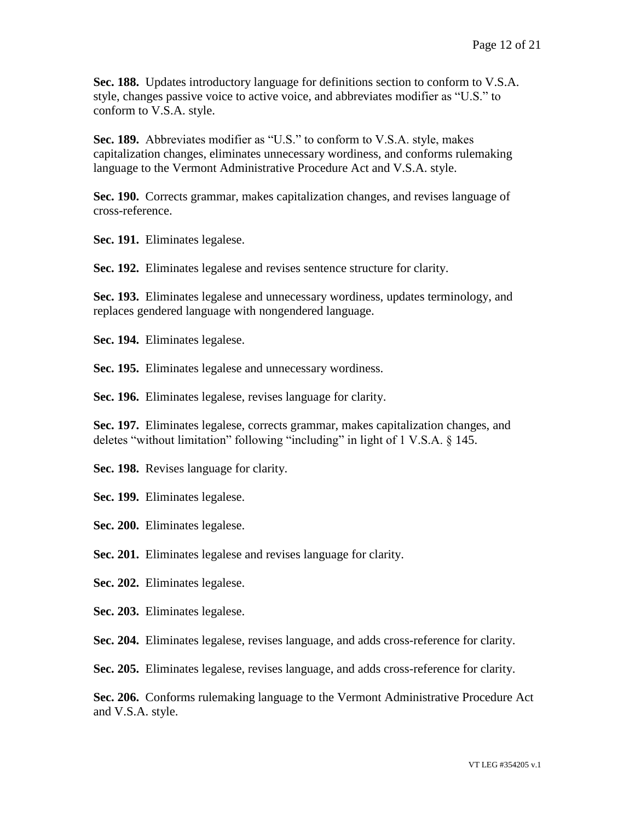**Sec. 188.** Updates introductory language for definitions section to conform to V.S.A. style, changes passive voice to active voice, and abbreviates modifier as "U.S." to conform to V.S.A. style.

**Sec. 189.** Abbreviates modifier as "U.S." to conform to V.S.A. style, makes capitalization changes, eliminates unnecessary wordiness, and conforms rulemaking language to the Vermont Administrative Procedure Act and V.S.A. style.

**Sec. 190.** Corrects grammar, makes capitalization changes, and revises language of cross-reference.

**Sec. 191.** Eliminates legalese.

**Sec. 192.** Eliminates legalese and revises sentence structure for clarity.

**Sec. 193.** Eliminates legalese and unnecessary wordiness, updates terminology, and replaces gendered language with nongendered language.

**Sec. 194.** Eliminates legalese.

**Sec. 195.** Eliminates legalese and unnecessary wordiness.

**Sec. 196.** Eliminates legalese, revises language for clarity.

**Sec. 197.** Eliminates legalese, corrects grammar, makes capitalization changes, and deletes "without limitation" following "including" in light of 1 V.S.A. § 145.

**Sec. 198.** Revises language for clarity.

**Sec. 199.** Eliminates legalese.

**Sec. 200.** Eliminates legalese.

**Sec. 201.** Eliminates legalese and revises language for clarity.

**Sec. 202.** Eliminates legalese.

**Sec. 203.** Eliminates legalese.

**Sec. 204.** Eliminates legalese, revises language, and adds cross-reference for clarity.

**Sec. 205.** Eliminates legalese, revises language, and adds cross-reference for clarity.

**Sec. 206.** Conforms rulemaking language to the Vermont Administrative Procedure Act and V.S.A. style.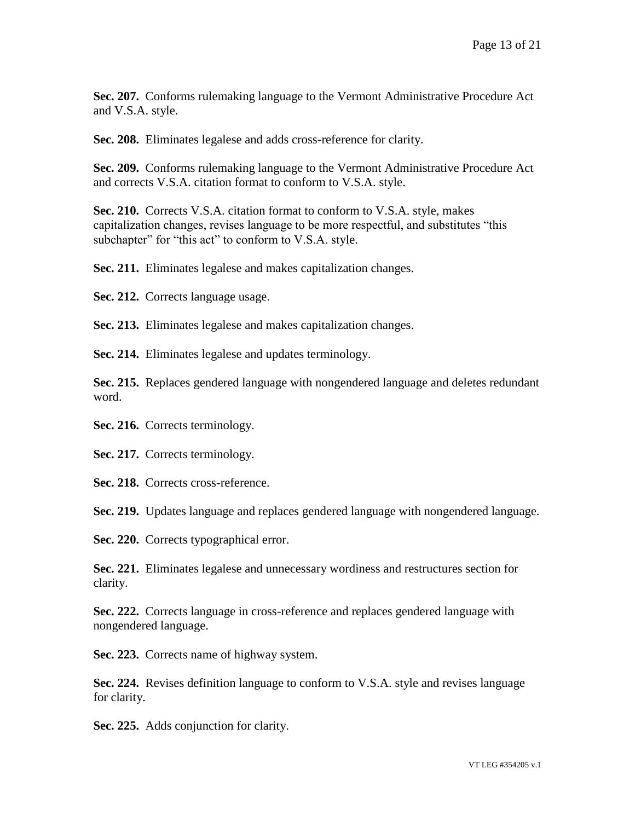**Sec. 207.** Conforms rulemaking language to the Vermont Administrative Procedure Act and V.S.A. style.

**Sec. 208.** Eliminates legalese and adds cross-reference for clarity.

**Sec. 209.** Conforms rulemaking language to the Vermont Administrative Procedure Act and corrects V.S.A. citation format to conform to V.S.A. style.

**Sec. 210.** Corrects V.S.A. citation format to conform to V.S.A. style, makes capitalization changes, revises language to be more respectful, and substitutes "this subchapter" for "this act" to conform to V.S.A. style.

**Sec. 211.** Eliminates legalese and makes capitalization changes.

Sec. 212. Corrects language usage.

**Sec. 213.** Eliminates legalese and makes capitalization changes.

**Sec. 214.** Eliminates legalese and updates terminology.

**Sec. 215.** Replaces gendered language with nongendered language and deletes redundant word.

**Sec. 216.** Corrects terminology.

Sec. 217. Corrects terminology.

Sec. 218. Corrects cross-reference.

**Sec. 219.** Updates language and replaces gendered language with nongendered language.

Sec. 220. Corrects typographical error.

**Sec. 221.** Eliminates legalese and unnecessary wordiness and restructures section for clarity.

**Sec. 222.** Corrects language in cross-reference and replaces gendered language with nongendered language.

**Sec. 223.** Corrects name of highway system.

**Sec. 224.** Revises definition language to conform to V.S.A. style and revises language for clarity.

**Sec. 225.** Adds conjunction for clarity.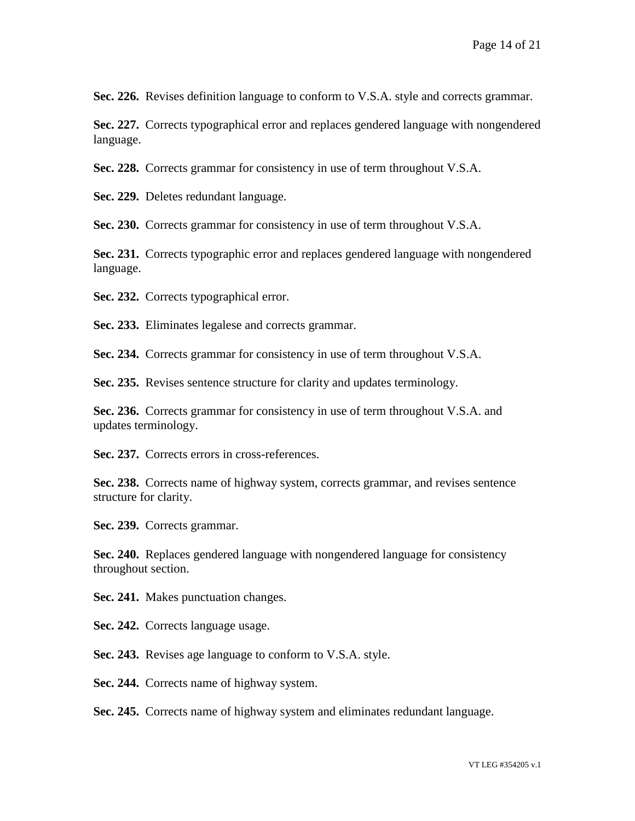Sec. 226. Revises definition language to conform to V.S.A. style and corrects grammar.

**Sec. 227.** Corrects typographical error and replaces gendered language with nongendered language.

**Sec. 228.** Corrects grammar for consistency in use of term throughout V.S.A.

**Sec. 229.** Deletes redundant language.

**Sec. 230.** Corrects grammar for consistency in use of term throughout V.S.A.

**Sec. 231.** Corrects typographic error and replaces gendered language with nongendered language.

**Sec. 232.** Corrects typographical error.

**Sec. 233.** Eliminates legalese and corrects grammar.

**Sec. 234.** Corrects grammar for consistency in use of term throughout V.S.A.

**Sec. 235.** Revises sentence structure for clarity and updates terminology.

**Sec. 236.** Corrects grammar for consistency in use of term throughout V.S.A. and updates terminology.

**Sec. 237.** Corrects errors in cross-references.

**Sec. 238.** Corrects name of highway system, corrects grammar, and revises sentence structure for clarity.

**Sec. 239.** Corrects grammar.

**Sec. 240.** Replaces gendered language with nongendered language for consistency throughout section.

**Sec. 241.** Makes punctuation changes.

**Sec. 242.** Corrects language usage.

**Sec. 243.** Revises age language to conform to V.S.A. style.

Sec. 244. Corrects name of highway system.

**Sec. 245.** Corrects name of highway system and eliminates redundant language.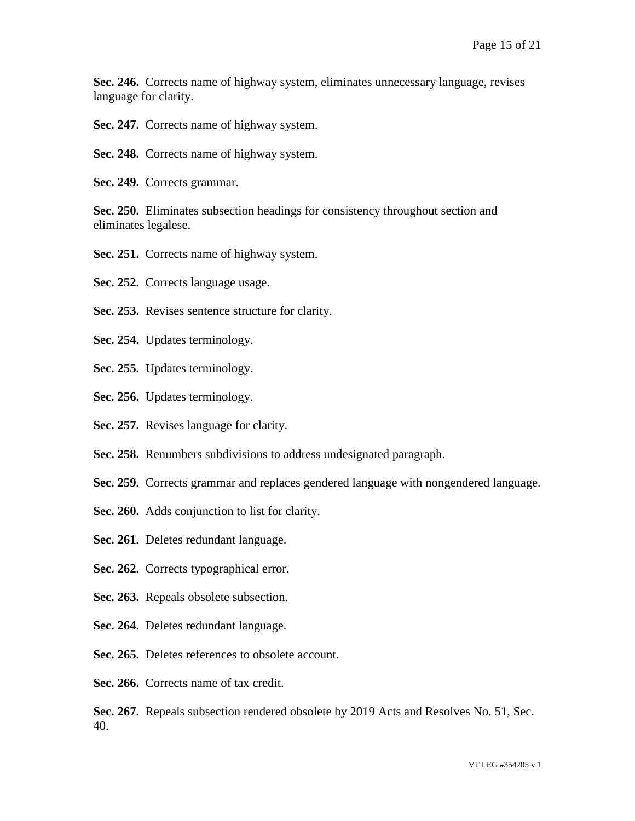**Sec. 246.** Corrects name of highway system, eliminates unnecessary language, revises language for clarity.

Sec. 247. Corrects name of highway system.

- Sec. 248. Corrects name of highway system.
- **Sec. 249.** Corrects grammar.

**Sec. 250.** Eliminates subsection headings for consistency throughout section and eliminates legalese.

- **Sec. 251.** Corrects name of highway system.
- **Sec. 252.** Corrects language usage.
- **Sec. 253.** Revises sentence structure for clarity.
- **Sec. 254.** Updates terminology.
- **Sec. 255.** Updates terminology.
- **Sec. 256.** Updates terminology.
- **Sec. 257.** Revises language for clarity.
- **Sec. 258.** Renumbers subdivisions to address undesignated paragraph.
- **Sec. 259.** Corrects grammar and replaces gendered language with nongendered language.
- **Sec. 260.** Adds conjunction to list for clarity.
- **Sec. 261.** Deletes redundant language.
- Sec. 262. Corrects typographical error.
- **Sec. 263.** Repeals obsolete subsection.
- **Sec. 264.** Deletes redundant language.
- **Sec. 265.** Deletes references to obsolete account.
- **Sec. 266.** Corrects name of tax credit.

**Sec. 267.** Repeals subsection rendered obsolete by 2019 Acts and Resolves No. 51, Sec. 40.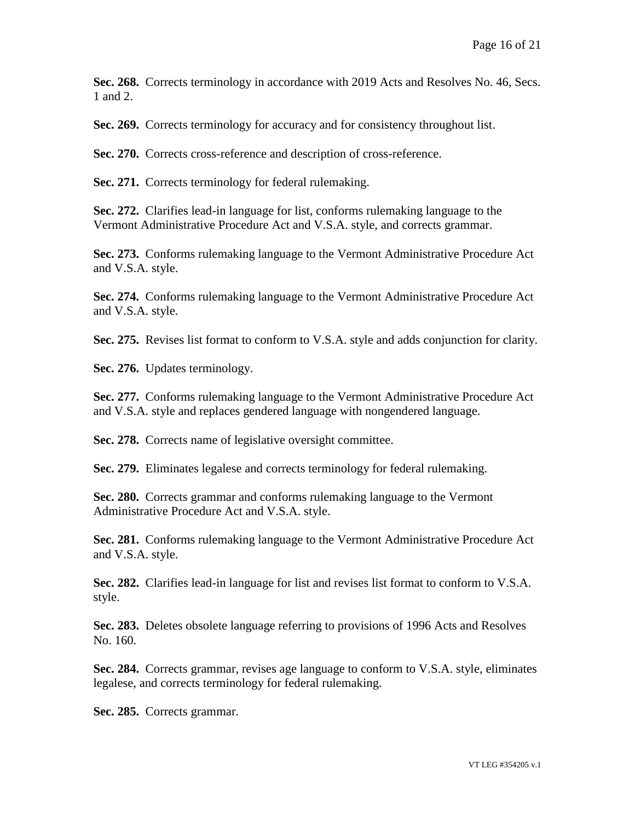**Sec. 268.** Corrects terminology in accordance with 2019 Acts and Resolves No. 46, Secs. 1 and 2.

**Sec. 269.** Corrects terminology for accuracy and for consistency throughout list.

**Sec. 270.** Corrects cross-reference and description of cross-reference.

Sec. 271. Corrects terminology for federal rulemaking.

**Sec. 272.** Clarifies lead-in language for list, conforms rulemaking language to the Vermont Administrative Procedure Act and V.S.A. style, and corrects grammar.

**Sec. 273.** Conforms rulemaking language to the Vermont Administrative Procedure Act and V.S.A. style.

**Sec. 274.** Conforms rulemaking language to the Vermont Administrative Procedure Act and V.S.A. style.

**Sec. 275.** Revises list format to conform to V.S.A. style and adds conjunction for clarity.

**Sec. 276.** Updates terminology.

**Sec. 277.** Conforms rulemaking language to the Vermont Administrative Procedure Act and V.S.A. style and replaces gendered language with nongendered language.

**Sec. 278.** Corrects name of legislative oversight committee.

**Sec. 279.** Eliminates legalese and corrects terminology for federal rulemaking.

**Sec. 280.** Corrects grammar and conforms rulemaking language to the Vermont Administrative Procedure Act and V.S.A. style.

**Sec. 281.** Conforms rulemaking language to the Vermont Administrative Procedure Act and V.S.A. style.

**Sec. 282.** Clarifies lead-in language for list and revises list format to conform to V.S.A. style.

**Sec. 283.** Deletes obsolete language referring to provisions of 1996 Acts and Resolves No. 160.

**Sec. 284.** Corrects grammar, revises age language to conform to V.S.A. style, eliminates legalese, and corrects terminology for federal rulemaking.

**Sec. 285.** Corrects grammar.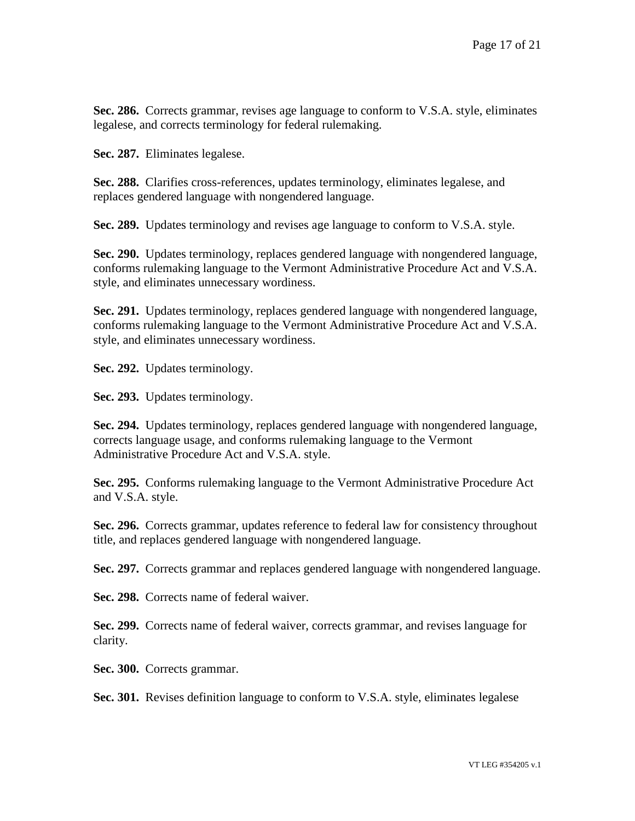**Sec. 286.** Corrects grammar, revises age language to conform to V.S.A. style, eliminates legalese, and corrects terminology for federal rulemaking.

**Sec. 287.** Eliminates legalese.

**Sec. 288.** Clarifies cross-references, updates terminology, eliminates legalese, and replaces gendered language with nongendered language.

**Sec. 289.** Updates terminology and revises age language to conform to V.S.A. style.

**Sec. 290.** Updates terminology, replaces gendered language with nongendered language, conforms rulemaking language to the Vermont Administrative Procedure Act and V.S.A. style, and eliminates unnecessary wordiness.

**Sec. 291.** Updates terminology, replaces gendered language with nongendered language, conforms rulemaking language to the Vermont Administrative Procedure Act and V.S.A. style, and eliminates unnecessary wordiness.

**Sec. 292.** Updates terminology.

**Sec. 293.** Updates terminology.

**Sec. 294.** Updates terminology, replaces gendered language with nongendered language, corrects language usage, and conforms rulemaking language to the Vermont Administrative Procedure Act and V.S.A. style.

**Sec. 295.** Conforms rulemaking language to the Vermont Administrative Procedure Act and V.S.A. style.

**Sec. 296.** Corrects grammar, updates reference to federal law for consistency throughout title, and replaces gendered language with nongendered language.

**Sec. 297.** Corrects grammar and replaces gendered language with nongendered language.

**Sec. 298.** Corrects name of federal waiver.

**Sec. 299.** Corrects name of federal waiver, corrects grammar, and revises language for clarity.

**Sec. 300.** Corrects grammar.

**Sec. 301.** Revises definition language to conform to V.S.A. style, eliminates legalese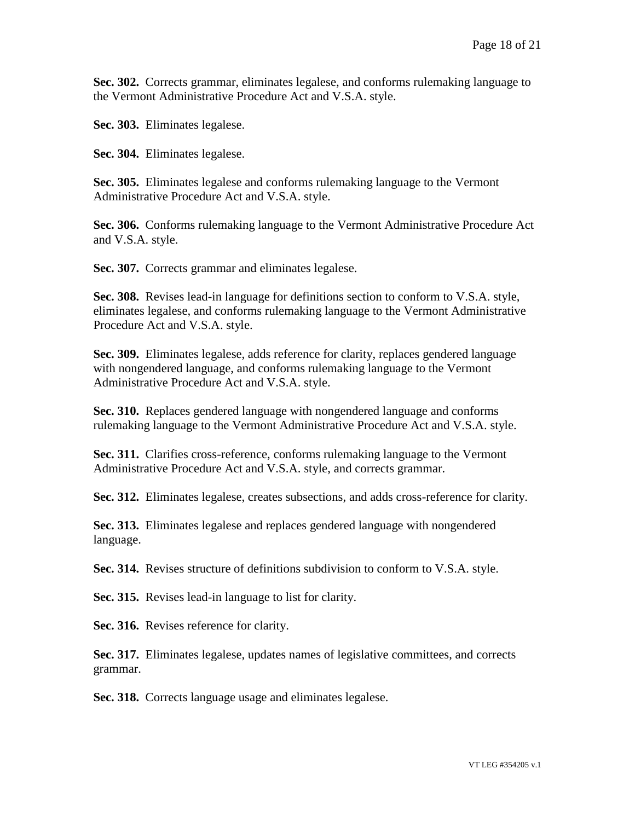**Sec. 302.** Corrects grammar, eliminates legalese, and conforms rulemaking language to the Vermont Administrative Procedure Act and V.S.A. style.

**Sec. 303.** Eliminates legalese.

**Sec. 304.** Eliminates legalese.

**Sec. 305.** Eliminates legalese and conforms rulemaking language to the Vermont Administrative Procedure Act and V.S.A. style.

**Sec. 306.** Conforms rulemaking language to the Vermont Administrative Procedure Act and V.S.A. style.

Sec. 307. Corrects grammar and eliminates legalese.

**Sec. 308.** Revises lead-in language for definitions section to conform to V.S.A. style, eliminates legalese, and conforms rulemaking language to the Vermont Administrative Procedure Act and V.S.A. style.

**Sec. 309.** Eliminates legalese, adds reference for clarity, replaces gendered language with nongendered language, and conforms rulemaking language to the Vermont Administrative Procedure Act and V.S.A. style.

**Sec. 310.** Replaces gendered language with nongendered language and conforms rulemaking language to the Vermont Administrative Procedure Act and V.S.A. style.

**Sec. 311.** Clarifies cross-reference, conforms rulemaking language to the Vermont Administrative Procedure Act and V.S.A. style, and corrects grammar.

**Sec. 312.** Eliminates legalese, creates subsections, and adds cross-reference for clarity.

**Sec. 313.** Eliminates legalese and replaces gendered language with nongendered language.

**Sec. 314.** Revises structure of definitions subdivision to conform to V.S.A. style.

**Sec. 315.** Revises lead-in language to list for clarity.

**Sec. 316.** Revises reference for clarity.

**Sec. 317.** Eliminates legalese, updates names of legislative committees, and corrects grammar.

**Sec. 318.** Corrects language usage and eliminates legalese.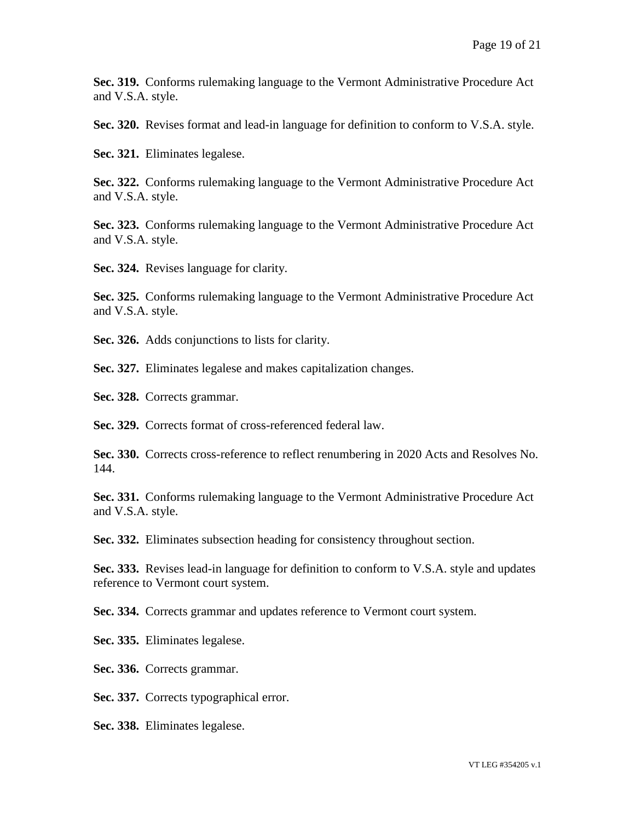**Sec. 319.** Conforms rulemaking language to the Vermont Administrative Procedure Act and V.S.A. style.

**Sec. 320.** Revises format and lead-in language for definition to conform to V.S.A. style.

**Sec. 321.** Eliminates legalese.

**Sec. 322.** Conforms rulemaking language to the Vermont Administrative Procedure Act and V.S.A. style.

**Sec. 323.** Conforms rulemaking language to the Vermont Administrative Procedure Act and V.S.A. style.

**Sec. 324.** Revises language for clarity.

**Sec. 325.** Conforms rulemaking language to the Vermont Administrative Procedure Act and V.S.A. style.

**Sec. 326.** Adds conjunctions to lists for clarity.

**Sec. 327.** Eliminates legalese and makes capitalization changes.

**Sec. 328.** Corrects grammar.

**Sec. 329.** Corrects format of cross-referenced federal law.

**Sec. 330.** Corrects cross-reference to reflect renumbering in 2020 Acts and Resolves No. 144.

**Sec. 331.** Conforms rulemaking language to the Vermont Administrative Procedure Act and V.S.A. style.

**Sec. 332.** Eliminates subsection heading for consistency throughout section.

**Sec. 333.** Revises lead-in language for definition to conform to V.S.A. style and updates reference to Vermont court system.

**Sec. 334.** Corrects grammar and updates reference to Vermont court system.

**Sec. 335.** Eliminates legalese.

**Sec. 336.** Corrects grammar.

**Sec. 337.** Corrects typographical error.

**Sec. 338.** Eliminates legalese.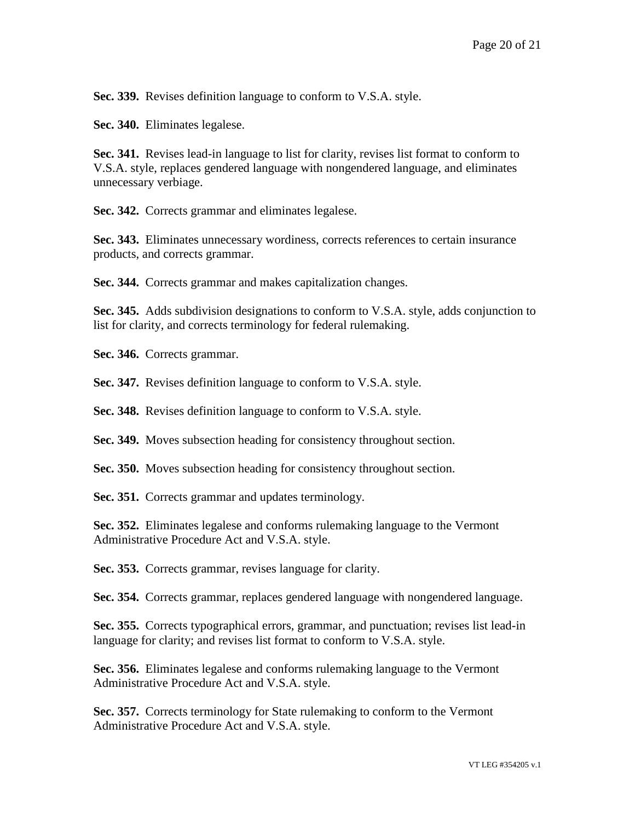**Sec. 339.** Revises definition language to conform to V.S.A. style.

**Sec. 340.** Eliminates legalese.

**Sec. 341.** Revises lead-in language to list for clarity, revises list format to conform to V.S.A. style, replaces gendered language with nongendered language, and eliminates unnecessary verbiage.

**Sec. 342.** Corrects grammar and eliminates legalese.

**Sec. 343.** Eliminates unnecessary wordiness, corrects references to certain insurance products, and corrects grammar.

**Sec. 344.** Corrects grammar and makes capitalization changes.

**Sec. 345.** Adds subdivision designations to conform to V.S.A. style, adds conjunction to list for clarity, and corrects terminology for federal rulemaking.

**Sec. 346.** Corrects grammar.

**Sec. 347.** Revises definition language to conform to V.S.A. style.

**Sec. 348.** Revises definition language to conform to V.S.A. style.

**Sec. 349.** Moves subsection heading for consistency throughout section.

**Sec. 350.** Moves subsection heading for consistency throughout section.

**Sec. 351.** Corrects grammar and updates terminology.

**Sec. 352.** Eliminates legalese and conforms rulemaking language to the Vermont Administrative Procedure Act and V.S.A. style.

**Sec. 353.** Corrects grammar, revises language for clarity.

**Sec. 354.** Corrects grammar, replaces gendered language with nongendered language.

**Sec. 355.** Corrects typographical errors, grammar, and punctuation; revises list lead-in language for clarity; and revises list format to conform to V.S.A. style.

**Sec. 356.** Eliminates legalese and conforms rulemaking language to the Vermont Administrative Procedure Act and V.S.A. style.

**Sec. 357.** Corrects terminology for State rulemaking to conform to the Vermont Administrative Procedure Act and V.S.A. style.